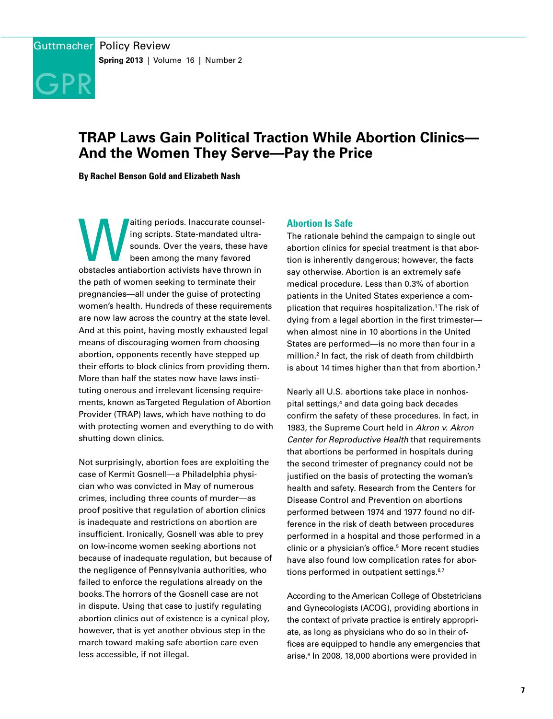

# **TRAP Laws Gain Political Traction While Abortion Clinics— And the Women They Serve—Pay the Price**

**By Rachel Benson Gold and Elizabeth Nash**

aiting periods. Inaccurate counsel-<br>
ing scripts. State-mandated ultra-<br>
sounds. Over the years, these have<br>
been among the many favored<br>
obstacles antiabortion activists have thrown in ing scripts. State-mandated ultrasounds. Over the years, these have been among the many favored the path of women seeking to terminate their pregnancies—all under the guise of protecting women's health. Hundreds of these requirements are now law across the country at the state level. And at this point, having mostly exhausted legal means of discouraging women from choosing abortion, opponents recently have stepped up their efforts to block clinics from providing them. More than half the states now have laws instituting onerous and irrelevant licensing requirements, known as Targeted Regulation of Abortion Provider (TRAP) laws, which have nothing to do with protecting women and everything to do with shutting down clinics.

Not surprisingly, abortion foes are exploiting the case of Kermit Gosnell—a Philadelphia physician who was convicted in May of numerous crimes, including three counts of murder—as proof positive that regulation of abortion clinics is inadequate and restrictions on abortion are insufficient. Ironically, Gosnell was able to prey on low-income women seeking abortions not because of inadequate regulation, but because of the negligence of Pennsylvania authorities, who failed to enforce the regulations already on the books. The horrors of the Gosnell case are not in dispute. Using that case to justify regulating abortion clinics out of existence is a cynical ploy, however, that is yet another obvious step in the march toward making safe abortion care even less accessible, if not illegal.

# **Abortion Is Safe**

The rationale behind the campaign to single out abortion clinics for special treatment is that abortion is inherently dangerous; however, the facts say otherwise. Abortion is an extremely safe medical procedure. Less than 0.3% of abortion patients in the United States experience a complication that requires hospitalization.1 The risk of dying from a legal abortion in the first trimester when almost nine in 10 abortions in the United States are performed—is no more than four in a million.2 In fact, the risk of death from childbirth is about 14 times higher than that from abortion.<sup>3</sup>

Nearly all U.S. abortions take place in nonhospital settings,4 and data going back decades confirm the safety of these procedures. In fact, in 1983, the Supreme Court held in *Akron v. Akron Center for Reproductive Health* that requirements that abortions be performed in hospitals during the second trimester of pregnancy could not be justified on the basis of protecting the woman's health and safety. Research from the Centers for Disease Control and Prevention on abortions performed between 1974 and 1977 found no difference in the risk of death between procedures performed in a hospital and those performed in a clinic or a physician's office.<sup>5</sup> More recent studies have also found low complication rates for abortions performed in outpatient settings.<sup>6,7</sup>

According to the American College of Obstetricians and Gynecologists (ACOG), providing abortions in the context of private practice is entirely appropriate, as long as physicians who do so in their offices are equipped to handle any emergencies that arise.<sup>8</sup> In 2008, 18,000 abortions were provided in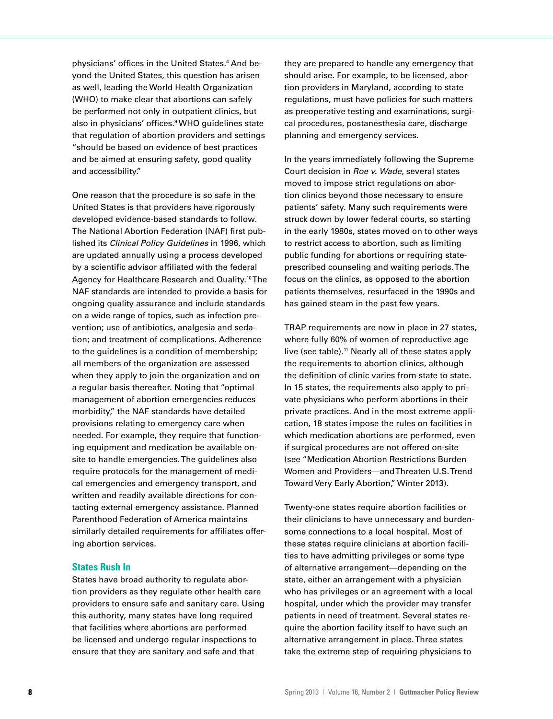physicians' offices in the United States.4 And beyond the United States, this question has arisen as well, leading the World Health Organization (WHO) to make clear that abortions can safely be performed not only in outpatient clinics, but also in physicians' offices.<sup>9</sup> WHO guidelines state that regulation of abortion providers and settings "should be based on evidence of best practices and be aimed at ensuring safety, good quality and accessibility."

One reason that the procedure is so safe in the United States is that providers have rigorously developed evidence-based standards to follow. The National Abortion Federation (NAF) first published its *Clinical Policy Guidelines* in 1996, which are updated annually using a process developed by a scientific advisor affiliated with the federal Agency for Healthcare Research and Quality.<sup>10</sup> The NAF standards are intended to provide a basis for ongoing quality assurance and include standards on a wide range of topics, such as infection prevention; use of antibiotics, analgesia and sedation; and treatment of complications. Adherence to the guidelines is a condition of membership; all members of the organization are assessed when they apply to join the organization and on a regular basis thereafter. Noting that "optimal management of abortion emergencies reduces morbidity," the NAF standards have detailed provisions relating to emergency care when needed. For example, they require that functioning equipment and medication be available onsite to handle emergencies. The guidelines also require protocols for the management of medical emergencies and emergency transport, and written and readily available directions for contacting external emergency assistance. Planned Parenthood Federation of America maintains similarly detailed requirements for affiliates offering abortion services.

# **States Rush In**

States have broad authority to regulate abortion providers as they regulate other health care providers to ensure safe and sanitary care. Using this authority, many states have long required that facilities where abortions are performed be licensed and undergo regular inspections to ensure that they are sanitary and safe and that

they are prepared to handle any emergency that should arise. For example, to be licensed, abortion providers in Maryland, according to state regulations, must have policies for such matters as preoperative testing and examinations, surgical procedures, postanesthesia care, discharge planning and emergency services.

In the years immediately following the Supreme Court decision in *Roe v. Wade,* several states moved to impose strict regulations on abortion clinics beyond those necessary to ensure patients' safety. Many such requirements were struck down by lower federal courts, so starting in the early 1980s, states moved on to other ways to restrict access to abortion, such as limiting public funding for abortions or requiring stateprescribed counseling and waiting periods. The focus on the clinics, as opposed to the abortion patients themselves, resurfaced in the 1990s and has gained steam in the past few years.

TRAP requirements are now in place in 27 states, where fully 60% of women of reproductive age live (see table).<sup>11</sup> Nearly all of these states apply the requirements to abortion clinics, although the definition of clinic varies from state to state. In 15 states, the requirements also apply to private physicians who perform abortions in their private practices. And in the most extreme application, 18 states impose the rules on facilities in which medication abortions are performed, even if surgical procedures are not offered on-site (see "Medication Abortion Restrictions Burden Women and Providers—and Threaten U.S. Trend Toward Very Early Abortion," Winter 2013).

Twenty-one states require abortion facilities or their clinicians to have unnecessary and burdensome connections to a local hospital. Most of these states require clinicians at abortion facilities to have admitting privileges or some type of alternative arrangement—depending on the state, either an arrangement with a physician who has privileges or an agreement with a local hospital, under which the provider may transfer patients in need of treatment. Several states require the abortion facility itself to have such an alternative arrangement in place. Three states take the extreme step of requiring physicians to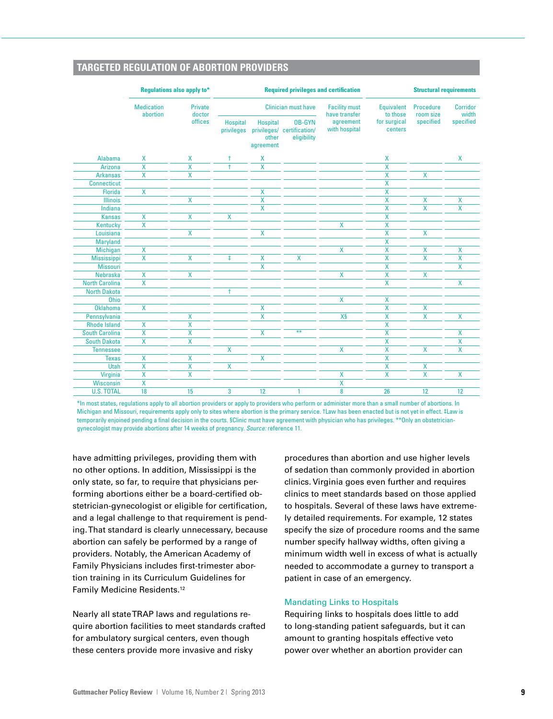# **TARGETED REGULATION OF ABORTION PROVIDERS**

|                       | <b>Regulations also apply to*</b> | <b>Required privileges and certification</b> |                               |                                       |                                                            | <b>Structural requirements</b>        |                               |                         |                         |
|-----------------------|-----------------------------------|----------------------------------------------|-------------------------------|---------------------------------------|------------------------------------------------------------|---------------------------------------|-------------------------------|-------------------------|-------------------------|
|                       | <b>Medication</b><br>abortion     | Private<br>doctor<br>offices                 | <b>Clinician must have</b>    |                                       |                                                            | <b>Facility must</b><br>have transfer | <b>Equivalent</b><br>to those | Procedure<br>room size  | Corridor<br>width       |
|                       |                                   |                                              | <b>Hospital</b><br>privileges | <b>Hospital</b><br>other<br>agreement | <b>OB-GYN</b><br>privileges/ certification/<br>eligibility | agreement<br>with hospital            | for surgical<br>centers       | specified               | specified               |
| <b>Alabama</b>        | Χ                                 | X                                            | $\ddagger$                    | X                                     |                                                            |                                       | X                             |                         | X                       |
| Arizona               | X                                 | X                                            | $\ddagger$                    | X                                     |                                                            |                                       | X                             |                         |                         |
| <b>Arkansas</b>       | $\overline{\mathsf{x}}$           | X                                            |                               |                                       |                                                            |                                       | X                             | $\overline{\mathsf{x}}$ |                         |
| <b>Connecticut</b>    |                                   |                                              |                               |                                       |                                                            |                                       | X                             |                         |                         |
| <b>Florida</b>        | $\overline{\mathsf{x}}$           |                                              |                               | $\overline{\mathsf{X}}$               |                                                            |                                       | X                             |                         |                         |
| <b>Illinois</b>       |                                   | X                                            |                               | X                                     |                                                            |                                       | $\overline{\mathsf{x}}$       | X                       | X                       |
| Indiana               |                                   |                                              |                               | $\overline{\mathsf{x}}$               |                                                            |                                       | X                             | X                       | X                       |
| <b>Kansas</b>         | X                                 | $\mathsf{X}$                                 | X                             |                                       |                                                            |                                       | X                             |                         |                         |
| Kentucky              | $\overline{\mathsf{x}}$           |                                              |                               |                                       |                                                            | X                                     | X                             |                         |                         |
| Louisiana             |                                   | X                                            |                               | X                                     |                                                            |                                       | $\overline{\mathsf{x}}$       | X                       |                         |
| Maryland              |                                   |                                              |                               |                                       |                                                            |                                       | X                             |                         |                         |
| Michigan              | X                                 |                                              |                               |                                       |                                                            | X                                     | X                             | X                       | X                       |
| <b>Mississippi</b>    | $\overline{\mathsf{x}}$           | X                                            | $\ddagger$                    | X                                     | X                                                          |                                       | $\overline{\mathsf{x}}$       | $\overline{\mathsf{x}}$ | $\overline{\mathsf{x}}$ |
| <b>Missouri</b>       |                                   |                                              |                               | $\overline{\mathsf{x}}$               |                                                            |                                       | $\overline{\mathsf{x}}$       |                         | X                       |
| <b>Nebraska</b>       | X                                 | X                                            |                               |                                       |                                                            | X                                     | $\overline{\mathsf{x}}$       | $\overline{\mathsf{x}}$ |                         |
| <b>North Carolina</b> | X                                 |                                              |                               |                                       |                                                            |                                       | X                             |                         | X                       |
| <b>North Dakota</b>   |                                   |                                              | $\ddagger$                    |                                       |                                                            |                                       |                               |                         |                         |
| <b>Ohio</b>           |                                   |                                              |                               |                                       |                                                            | X                                     | X                             |                         |                         |
| Oklahoma              | $\overline{\mathsf{x}}$           |                                              |                               | $\boldsymbol{\mathsf{X}}$             |                                                            |                                       | X                             | X                       |                         |
| Pennsylvania          |                                   | X                                            |                               | $\overline{\mathbf{x}}$               |                                                            | X§                                    | X                             | X                       | X                       |
| <b>Rhode Island</b>   | X                                 | X                                            |                               |                                       |                                                            |                                       | X                             |                         |                         |
| <b>South Carolina</b> | X                                 | X                                            |                               | X                                     | $**$                                                       |                                       | X                             |                         | X                       |
| <b>South Dakota</b>   | X                                 | $\overline{\mathsf{X}}$                      |                               |                                       |                                                            |                                       | X                             |                         | X                       |
| <b>Tennessee</b>      |                                   |                                              | $\overline{\mathsf{x}}$       |                                       |                                                            | X                                     | X                             | X                       | X                       |
| <b>Texas</b>          | X                                 | X                                            |                               | X                                     |                                                            |                                       | X                             |                         |                         |
| <b>Utah</b>           | X                                 | X                                            | $\overline{\mathsf{x}}$       |                                       |                                                            |                                       | X                             | X                       |                         |
| Virginia              | $\overline{\mathsf{X}}$           | X                                            |                               |                                       |                                                            | X                                     | X                             | X                       | X                       |
| Wisconsin             | X                                 |                                              |                               |                                       |                                                            | X                                     |                               |                         |                         |
| <b>U.S. TOTAL</b>     | 18                                | 15                                           | 3                             | 12                                    | 1                                                          | 8                                     | 26                            | 12                      | 12                      |

\*In most states, regulations apply to all abortion providers or apply to providers who perform or administer more than a small number of abortions. In Michigan and Missouri, requirements apply only to sites where abortion is the primary service. †Law has been enacted but is not yet in effect. ‡Law is temporarily enjoined pending a final decision in the courts. §Clinic must have agreement with physician who has privileges. \*\*Only an obstetriciangynecologist may provide abortions after 14 weeks of pregnancy. *Source:* reference 11.

have admitting privileges, providing them with no other options. In addition, Mississippi is the only state, so far, to require that physicians performing abortions either be a board-certified obstetrician-gynecologist or eligible for certification, and a legal challenge to that requirement is pending. That standard is clearly unnecessary, because abortion can safely be performed by a range of providers. Notably, the American Academy of Family Physicians includes first-trimester abortion training in its Curriculum Guidelines for Family Medicine Residents.12

Nearly all state TRAP laws and regulations require abortion facilities to meet standards crafted for ambulatory surgical centers, even though these centers provide more invasive and risky

procedures than abortion and use higher levels of sedation than commonly provided in abortion clinics. Virginia goes even further and requires clinics to meet standards based on those applied to hospitals. Several of these laws have extremely detailed requirements. For example, 12 states specify the size of procedure rooms and the same number specify hallway widths, often giving a minimum width well in excess of what is actually needed to accommodate a gurney to transport a patient in case of an emergency.

#### Mandating Links to Hospitals

Requiring links to hospitals does little to add to long-standing patient safeguards, but it can amount to granting hospitals effective veto power over whether an abortion provider can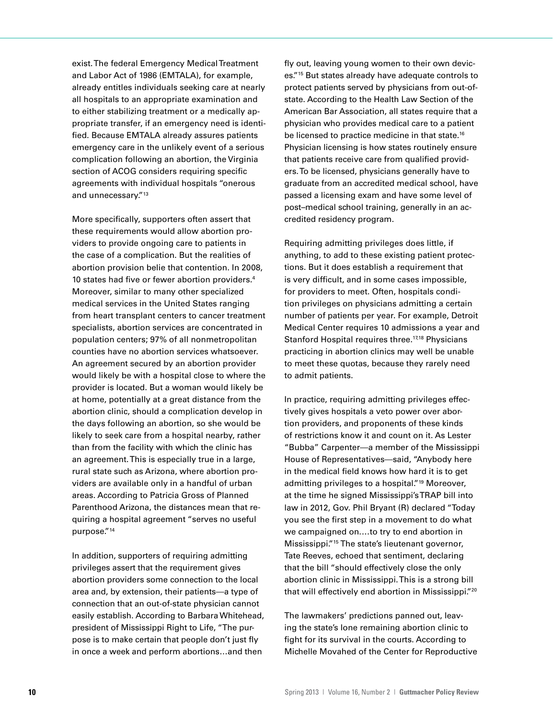exist. The federal Emergency Medical Treatment and Labor Act of 1986 (EMTALA), for example, already entitles individuals seeking care at nearly all hospitals to an appropriate examination and to either stabilizing treatment or a medically appropriate transfer, if an emergency need is identified. Because EMTALA already assures patients emergency care in the unlikely event of a serious complication following an abortion, the Virginia section of ACOG considers requiring specific agreements with individual hospitals "onerous and unnecessary."<sup>13</sup>

More specifically, supporters often assert that these requirements would allow abortion providers to provide ongoing care to patients in the case of a complication. But the realities of abortion provision belie that contention. In 2008, 10 states had five or fewer abortion providers.4 Moreover, similar to many other specialized medical services in the United States ranging from heart transplant centers to cancer treatment specialists, abortion services are concentrated in population centers; 97% of all nonmetropolitan counties have no abortion services whatsoever. An agreement secured by an abortion provider would likely be with a hospital close to where the provider is located. But a woman would likely be at home, potentially at a great distance from the abortion clinic, should a complication develop in the days following an abortion, so she would be likely to seek care from a hospital nearby, rather than from the facility with which the clinic has an agreement. This is especially true in a large, rural state such as Arizona, where abortion providers are available only in a handful of urban areas. According to Patricia Gross of Planned Parenthood Arizona, the distances mean that requiring a hospital agreement "serves no useful purpose."14

In addition, supporters of requiring admitting privileges assert that the requirement gives abortion providers some connection to the local area and, by extension, their patients—a type of connection that an out-of-state physician cannot easily establish. According to Barbara Whitehead, president of Mississippi Right to Life, "The purpose is to make certain that people don't just fly in once a week and perform abortions…and then

fly out, leaving young women to their own devices."15 But states already have adequate controls to protect patients served by physicians from out-ofstate. According to the Health Law Section of the American Bar Association, all states require that a physician who provides medical care to a patient be licensed to practice medicine in that state.16 Physician licensing is how states routinely ensure that patients receive care from qualified providers. To be licensed, physicians generally have to graduate from an accredited medical school, have passed a licensing exam and have some level of post–medical school training, generally in an accredited residency program.

Requiring admitting privileges does little, if anything, to add to these existing patient protections. But it does establish a requirement that is very difficult, and in some cases impossible, for providers to meet. Often, hospitals condition privileges on physicians admitting a certain number of patients per year. For example, Detroit Medical Center requires 10 admissions a year and Stanford Hospital requires three.<sup>17,18</sup> Physicians practicing in abortion clinics may well be unable to meet these quotas, because they rarely need to admit patients.

In practice, requiring admitting privileges effectively gives hospitals a veto power over abortion providers, and proponents of these kinds of restrictions know it and count on it. As Lester "Bubba" Carpenter—a member of the Mississippi House of Representatives—said, "Anybody here in the medical field knows how hard it is to get admitting privileges to a hospital."<sup>19</sup> Moreover, at the time he signed Mississippi's TRAP bill into law in 2012, Gov. Phil Bryant (R) declared "Today you see the first step in a movement to do what we campaigned on.…to try to end abortion in Mississippi."15 The state's lieutenant governor, Tate Reeves, echoed that sentiment, declaring that the bill "should effectively close the only abortion clinic in Mississippi. This is a strong bill that will effectively end abortion in Mississippi."20

The lawmakers' predictions panned out, leaving the state's lone remaining abortion clinic to fight for its survival in the courts. According to Michelle Movahed of the Center for Reproductive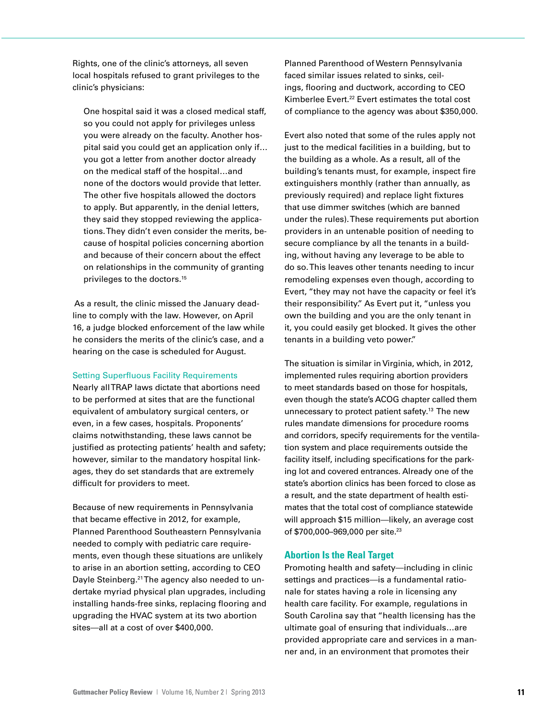Rights, one of the clinic's attorneys, all seven local hospitals refused to grant privileges to the clinic's physicians:

One hospital said it was a closed medical staff, so you could not apply for privileges unless you were already on the faculty. Another hospital said you could get an application only if… you got a letter from another doctor already on the medical staff of the hospital…and none of the doctors would provide that letter. The other five hospitals allowed the doctors to apply. But apparently, in the denial letters, they said they stopped reviewing the applications. They didn't even consider the merits, because of hospital policies concerning abortion and because of their concern about the effect on relationships in the community of granting privileges to the doctors.15

 As a result, the clinic missed the January deadline to comply with the law. However, on April 16, a judge blocked enforcement of the law while he considers the merits of the clinic's case, and a hearing on the case is scheduled for August.

## Setting Superfluous Facility Requirements

Nearly all TRAP laws dictate that abortions need to be performed at sites that are the functional equivalent of ambulatory surgical centers, or even, in a few cases, hospitals. Proponents' claims notwithstanding, these laws cannot be justified as protecting patients' health and safety; however, similar to the mandatory hospital linkages, they do set standards that are extremely difficult for providers to meet.

Because of new requirements in Pennsylvania that became effective in 2012, for example, Planned Parenthood Southeastern Pennsylvania needed to comply with pediatric care requirements, even though these situations are unlikely to arise in an abortion setting, according to CEO Dayle Steinberg.<sup>21</sup> The agency also needed to undertake myriad physical plan upgrades, including installing hands-free sinks, replacing flooring and upgrading the HVAC system at its two abortion sites—all at a cost of over \$400,000.

Planned Parenthood of Western Pennsylvania faced similar issues related to sinks, ceilings, flooring and ductwork, according to CEO Kimberlee Evert.22 Evert estimates the total cost of compliance to the agency was about \$350,000.

Evert also noted that some of the rules apply not just to the medical facilities in a building, but to the building as a whole. As a result, all of the building's tenants must, for example, inspect fire extinguishers monthly (rather than annually, as previously required) and replace light fixtures that use dimmer switches (which are banned under the rules). These requirements put abortion providers in an untenable position of needing to secure compliance by all the tenants in a building, without having any leverage to be able to do so. This leaves other tenants needing to incur remodeling expenses even though, according to Evert, "they may not have the capacity or feel it's their responsibility." As Evert put it, "unless you own the building and you are the only tenant in it, you could easily get blocked. It gives the other tenants in a building veto power."

The situation is similar in Virginia, which, in 2012, implemented rules requiring abortion providers to meet standards based on those for hospitals, even though the state's ACOG chapter called them unnecessary to protect patient safety.<sup>13</sup> The new rules mandate dimensions for procedure rooms and corridors, specify requirements for the ventilation system and place requirements outside the facility itself, including specifications for the parking lot and covered entrances. Already one of the state's abortion clinics has been forced to close as a result, and the state department of health estimates that the total cost of compliance statewide will approach \$15 million—likely, an average cost of \$700,000–969,000 per site.23

## **Abortion Is the Real Target**

Promoting health and safety—including in clinic settings and practices—is a fundamental rationale for states having a role in licensing any health care facility. For example, regulations in South Carolina say that "health licensing has the ultimate goal of ensuring that individuals…are provided appropriate care and services in a manner and, in an environment that promotes their